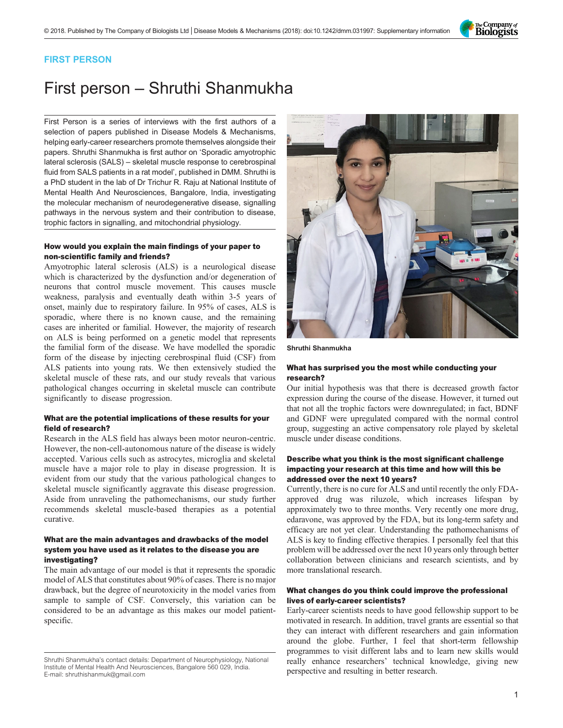

# FIRST PERSON

# First person – Shruthi Shanmukha

First Person is a series of interviews with the first authors of a selection of papers published in Disease Models & Mechanisms, helping early-career researchers promote themselves alongside their papers. Shruthi Shanmukha is first author on '[Sporadic amyotrophic](#page-1-0) lateral sclerosis (SALS) – [skeletal muscle response to cerebrospinal](#page-1-0) [fluid from SALS patients in a rat model](#page-1-0)', published in DMM. Shruthi is a PhD student in the lab of Dr Trichur R. Raju at National Institute of Mental Health And Neurosciences, Bangalore, India, investigating the molecular mechanism of neurodegenerative disease, signalling pathways in the nervous system and their contribution to disease, trophic factors in signalling, and mitochondrial physiology.

#### How would you explain the main findings of your paper to non-scientific family and friends?

Amyotrophic lateral sclerosis (ALS) is a neurological disease which is characterized by the dysfunction and/or degeneration of neurons that control muscle movement. This causes muscle weakness, paralysis and eventually death within 3-5 years of onset, mainly due to respiratory failure. In 95% of cases, ALS is sporadic, where there is no known cause, and the remaining cases are inherited or familial. However, the majority of research on ALS is being performed on a genetic model that represents the familial form of the disease. We have modelled the sporadic form of the disease by injecting cerebrospinal fluid (CSF) from ALS patients into young rats. We then extensively studied the skeletal muscle of these rats, and our study reveals that various pathological changes occurring in skeletal muscle can contribute significantly to disease progression.

# What are the potential implications of these results for your field of research?

Research in the ALS field has always been motor neuron-centric. However, the non-cell-autonomous nature of the disease is widely accepted. Various cells such as astrocytes, microglia and skeletal muscle have a major role to play in disease progression. It is evident from our study that the various pathological changes to skeletal muscle significantly aggravate this disease progression. Aside from unraveling the pathomechanisms, our study further recommends skeletal muscle-based therapies as a potential curative.

#### What are the main advantages and drawbacks of the model system you have used as it relates to the disease you are investigating?

The main advantage of our model is that it represents the sporadic model of ALS that constitutes about 90% of cases. There is no major drawback, but the degree of neurotoxicity in the model varies from sample to sample of CSF. Conversely, this variation can be considered to be an advantage as this makes our model patientspecific.



Shruthi Shanmukha

#### What has surprised you the most while conducting your research?

Our initial hypothesis was that there is decreased growth factor expression during the course of the disease. However, it turned out that not all the trophic factors were downregulated; in fact, BDNF and GDNF were upregulated compared with the normal control group, suggesting an active compensatory role played by skeletal muscle under disease conditions.

## Describe what you think is the most significant challenge impacting your research at this time and how will this be addressed over the next 10 years?

Currently, there is no cure for ALS and until recently the only FDAapproved drug was riluzole, which increases lifespan by approximately two to three months. Very recently one more drug, edaravone, was approved by the FDA, but its long-term safety and efficacy are not yet clear. Understanding the pathomechanisms of ALS is key to finding effective therapies. I personally feel that this problem will be addressed over the next 10 years only through better collaboration between clinicians and research scientists, and by more translational research.

## What changes do you think could improve the professional lives of early-career scientists?

Early-career scientists needs to have good fellowship support to be motivated in research. In addition, travel grants are essential so that they can interact with different researchers and gain information around the globe. Further, I feel that short-term fellowship programmes to visit different labs and to learn new skills would really enhance researchers' technical knowledge, giving new perspective and resulting in better research.

Shruthi Shanmukha's contact details: Department of Neurophysiology, National Institute of Mental Health And Neurosciences, Bangalore 560 029, India. E-mail: [shruthishanmuk@gmail.com](mailto:shruthishanmuk@gmail.com)